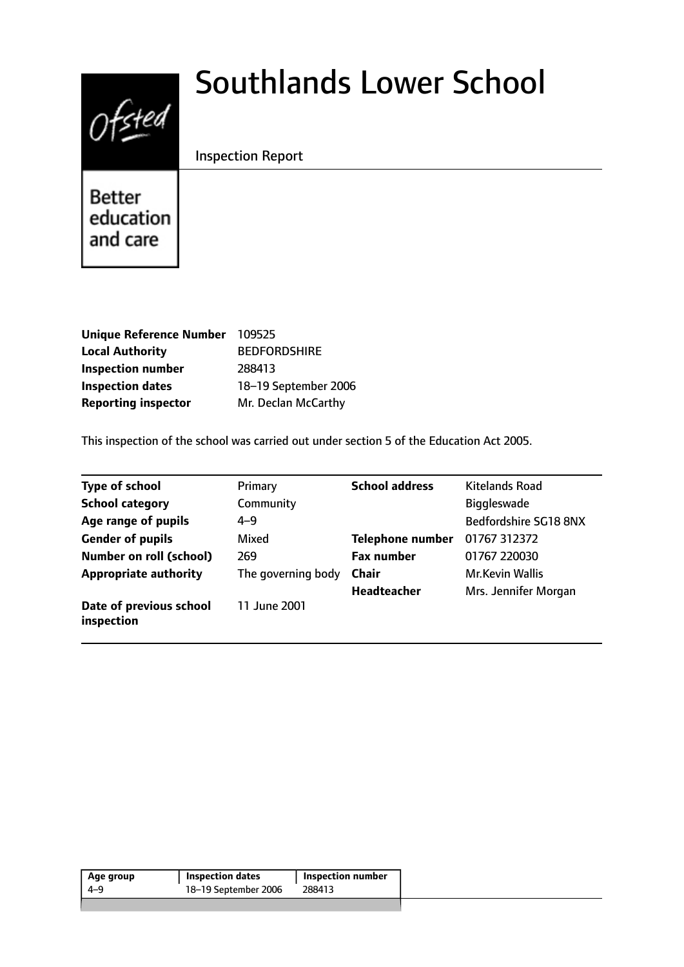# $0$ fsted

# Southlands Lower School

# Inspection Report

Better education and care

| <b>Unique Reference Number</b> | 109525               |
|--------------------------------|----------------------|
| <b>Local Authority</b>         | <b>BEDFORDSHIRE</b>  |
| <b>Inspection number</b>       | 288413               |
| <b>Inspection dates</b>        | 18-19 September 2006 |
| <b>Reporting inspector</b>     | Mr. Declan McCarthy  |

This inspection of the school was carried out under section 5 of the Education Act 2005.

| <b>Type of school</b>                 | Primary            | <b>School address</b>   | <b>Kitelands Road</b>  |
|---------------------------------------|--------------------|-------------------------|------------------------|
| <b>School category</b>                | Community          |                         | <b>Biggleswade</b>     |
| Age range of pupils                   | $4 - 9$            |                         | Bedfordshire SG18 8NX  |
| <b>Gender of pupils</b>               | Mixed              | <b>Telephone number</b> | 01767 312372           |
| <b>Number on roll (school)</b>        | 269                | <b>Fax number</b>       | 01767 220030           |
| <b>Appropriate authority</b>          | The governing body | <b>Chair</b>            | <b>Mr.Kevin Wallis</b> |
|                                       |                    | <b>Headteacher</b>      | Mrs. Jennifer Morgan   |
| Date of previous school<br>inspection | 11 June 2001       |                         |                        |

| Age group | <b>Inspection dates</b> | Inspection number |
|-----------|-------------------------|-------------------|
| 4-9       | 18-19 September 2006    | 288413            |
|           |                         |                   |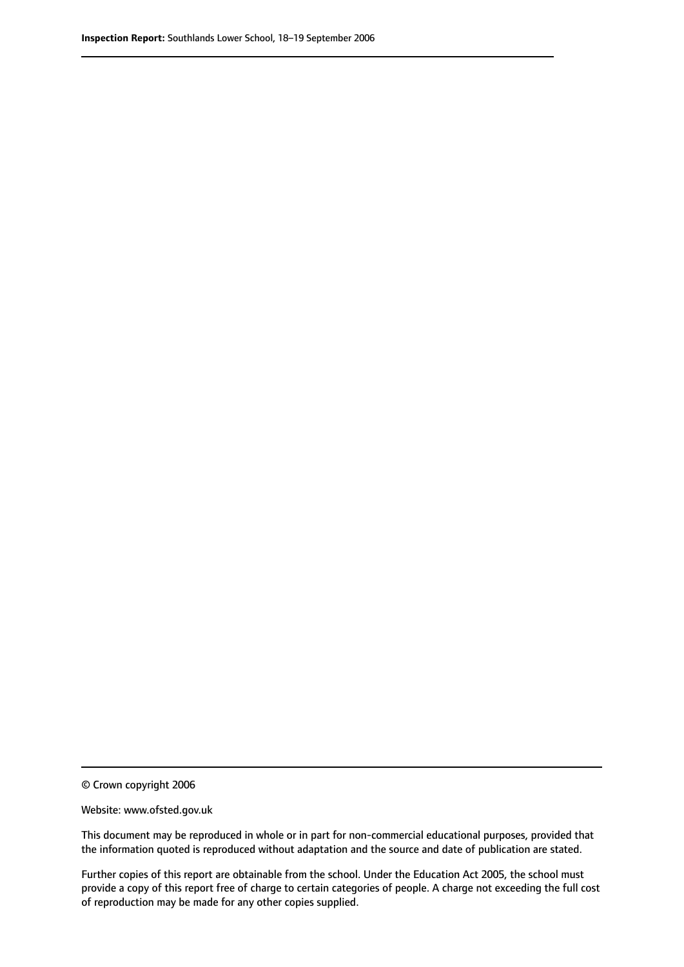© Crown copyright 2006

Website: www.ofsted.gov.uk

This document may be reproduced in whole or in part for non-commercial educational purposes, provided that the information quoted is reproduced without adaptation and the source and date of publication are stated.

Further copies of this report are obtainable from the school. Under the Education Act 2005, the school must provide a copy of this report free of charge to certain categories of people. A charge not exceeding the full cost of reproduction may be made for any other copies supplied.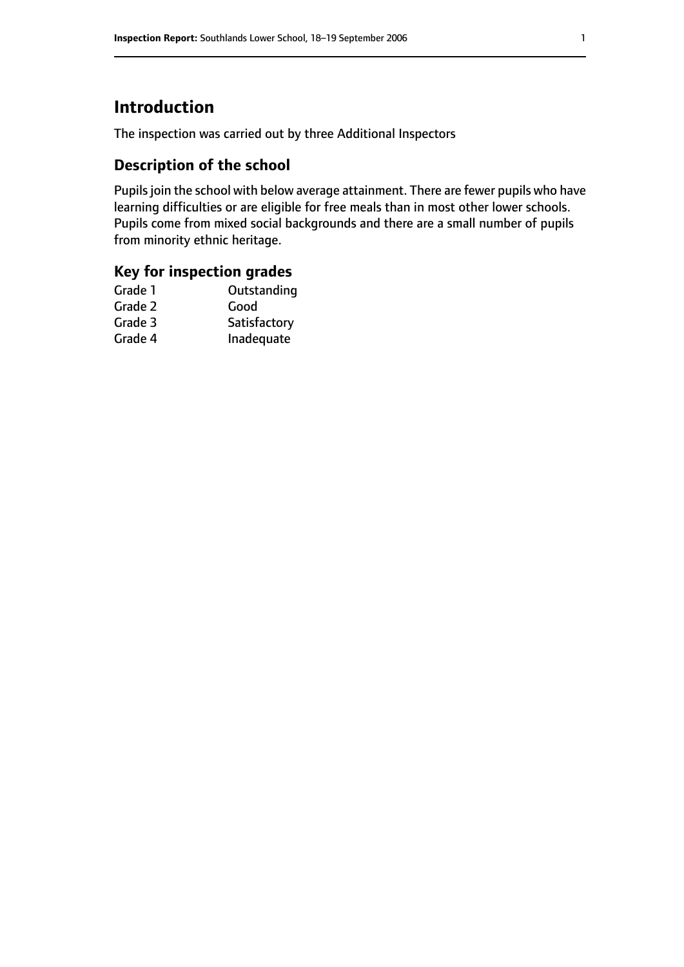# **Introduction**

The inspection was carried out by three Additional Inspectors

# **Description of the school**

Pupils join the school with below average attainment. There are fewer pupils who have learning difficulties or are eligible for free meals than in most other lower schools. Pupils come from mixed social backgrounds and there are a small number of pupils from minority ethnic heritage.

### **Key for inspection grades**

| Outstanding  |
|--------------|
| Good         |
| Satisfactory |
| Inadequate   |
|              |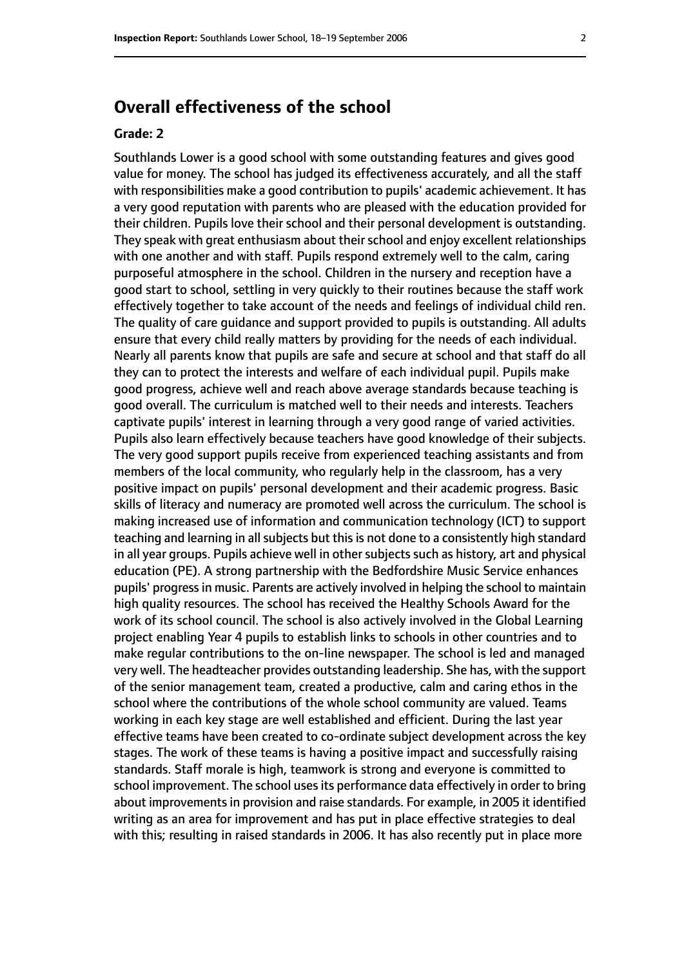# **Overall effectiveness of the school**

#### **Grade: 2**

Southlands Lower is a good school with some outstanding features and gives good value for money. The school has judged its effectiveness accurately, and all the staff with responsibilities make a good contribution to pupils' academic achievement. It has a very good reputation with parents who are pleased with the education provided for their children. Pupils love their school and their personal development is outstanding. They speak with great enthusiasm about their school and enjoy excellent relationships with one another and with staff. Pupils respond extremely well to the calm, caring purposeful atmosphere in the school. Children in the nursery and reception have a good start to school, settling in very quickly to their routines because the staff work effectively together to take account of the needs and feelings of individual child ren. The quality of care guidance and support provided to pupils is outstanding. All adults ensure that every child really matters by providing for the needs of each individual. Nearly all parents know that pupils are safe and secure at school and that staff do all they can to protect the interests and welfare of each individual pupil. Pupils make good progress, achieve well and reach above average standards because teaching is good overall. The curriculum is matched well to their needs and interests. Teachers captivate pupils' interest in learning through a very good range of varied activities. Pupils also learn effectively because teachers have good knowledge of their subjects. The very good support pupils receive from experienced teaching assistants and from members of the local community, who regularly help in the classroom, has a very positive impact on pupils' personal development and their academic progress. Basic skills of literacy and numeracy are promoted well across the curriculum. The school is making increased use of information and communication technology (ICT) to support teaching and learning in all subjects but this is not done to a consistently high standard in all year groups. Pupils achieve well in other subjects such as history, art and physical education (PE). A strong partnership with the Bedfordshire Music Service enhances pupils' progressin music. Parents are actively involved in helping the school to maintain high quality resources. The school has received the Healthy Schools Award for the work of its school council. The school is also actively involved in the Global Learning project enabling Year 4 pupils to establish links to schools in other countries and to make regular contributions to the on-line newspaper. The school is led and managed very well. The headteacher provides outstanding leadership. She has, with the support of the senior management team, created a productive, calm and caring ethos in the school where the contributions of the whole school community are valued. Teams working in each key stage are well established and efficient. During the last year effective teams have been created to co-ordinate subject development across the key stages. The work of these teams is having a positive impact and successfully raising standards. Staff morale is high, teamwork is strong and everyone is committed to school improvement. The school uses its performance data effectively in order to bring about improvements in provision and raise standards. For example, in 2005 it identified writing as an area for improvement and has put in place effective strategies to deal with this; resulting in raised standards in 2006. It has also recently put in place more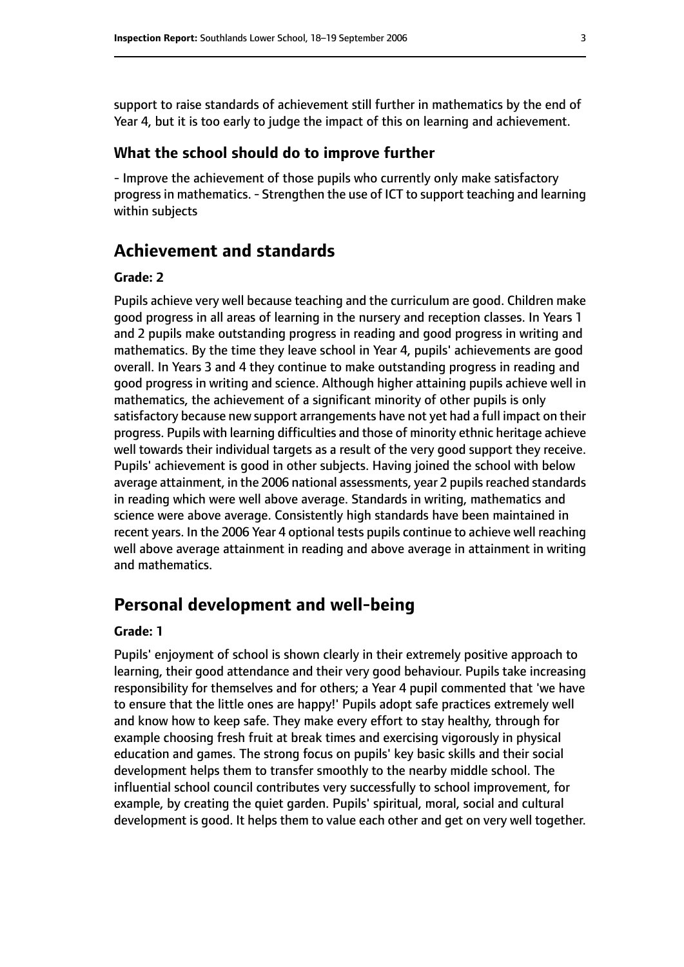support to raise standards of achievement still further in mathematics by the end of Year 4, but it is too early to judge the impact of this on learning and achievement.

#### **What the school should do to improve further**

- Improve the achievement of those pupils who currently only make satisfactory progress in mathematics.- Strengthen the use of ICT to support teaching and learning within subjects

# **Achievement and standards**

#### **Grade: 2**

Pupils achieve very well because teaching and the curriculum are good. Children make good progress in all areas of learning in the nursery and reception classes. In Years 1 and 2 pupils make outstanding progress in reading and good progress in writing and mathematics. By the time they leave school in Year 4, pupils' achievements are good overall. In Years 3 and 4 they continue to make outstanding progress in reading and good progress in writing and science. Although higher attaining pupils achieve well in mathematics, the achievement of a significant minority of other pupils is only satisfactory because new support arrangements have not yet had a full impact on their progress. Pupils with learning difficulties and those of minority ethnic heritage achieve well towards their individual targets as a result of the very good support they receive. Pupils' achievement is good in other subjects. Having joined the school with below average attainment, in the 2006 national assessments, year 2 pupils reached standards in reading which were well above average. Standards in writing, mathematics and science were above average. Consistently high standards have been maintained in recent years. In the 2006 Year 4 optional tests pupils continue to achieve well reaching well above average attainment in reading and above average in attainment in writing and mathematics.

#### **Personal development and well-being**

#### **Grade: 1**

Pupils' enjoyment of school is shown clearly in their extremely positive approach to learning, their good attendance and their very good behaviour. Pupils take increasing responsibility for themselves and for others; a Year 4 pupil commented that 'we have to ensure that the little ones are happy!' Pupils adopt safe practices extremely well and know how to keep safe. They make every effort to stay healthy, through for example choosing fresh fruit at break times and exercising vigorously in physical education and games. The strong focus on pupils' key basic skills and their social development helps them to transfer smoothly to the nearby middle school. The influential school council contributes very successfully to school improvement, for example, by creating the quiet garden. Pupils' spiritual, moral, social and cultural development is good. It helps them to value each other and get on very well together.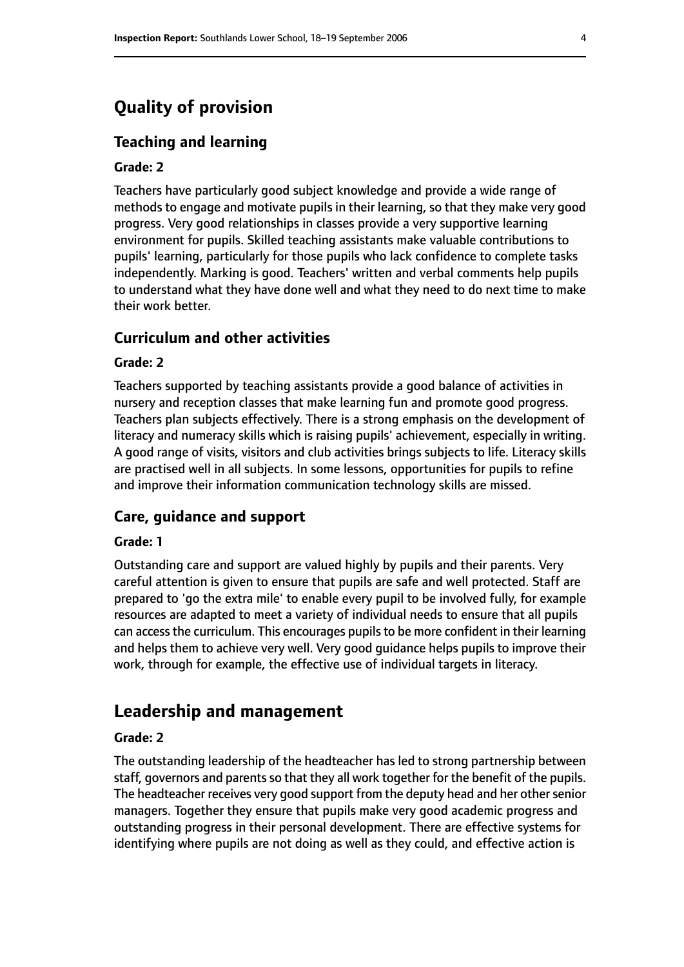# **Quality of provision**

#### **Teaching and learning**

#### **Grade: 2**

Teachers have particularly good subject knowledge and provide a wide range of methods to engage and motivate pupils in their learning, so that they make very good progress. Very good relationships in classes provide a very supportive learning environment for pupils. Skilled teaching assistants make valuable contributions to pupils' learning, particularly for those pupils who lack confidence to complete tasks independently. Marking is good. Teachers' written and verbal comments help pupils to understand what they have done well and what they need to do next time to make their work better.

#### **Curriculum and other activities**

#### **Grade: 2**

Teachers supported by teaching assistants provide a good balance of activities in nursery and reception classes that make learning fun and promote good progress. Teachers plan subjects effectively. There is a strong emphasis on the development of literacy and numeracy skills which is raising pupils' achievement, especially in writing. A good range of visits, visitors and club activities brings subjects to life. Literacy skills are practised well in all subjects. In some lessons, opportunities for pupils to refine and improve their information communication technology skills are missed.

#### **Care, guidance and support**

#### **Grade: 1**

Outstanding care and support are valued highly by pupils and their parents. Very careful attention is given to ensure that pupils are safe and well protected. Staff are prepared to 'go the extra mile' to enable every pupil to be involved fully, for example resources are adapted to meet a variety of individual needs to ensure that all pupils can accessthe curriculum. This encourages pupilsto be more confident in their learning and helps them to achieve very well. Very good guidance helps pupils to improve their work, through for example, the effective use of individual targets in literacy.

# **Leadership and management**

#### **Grade: 2**

The outstanding leadership of the headteacher has led to strong partnership between staff, governors and parents so that they all work together for the benefit of the pupils. The headteacher receives very good support from the deputy head and her other senior managers. Together they ensure that pupils make very good academic progress and outstanding progress in their personal development. There are effective systems for identifying where pupils are not doing as well as they could, and effective action is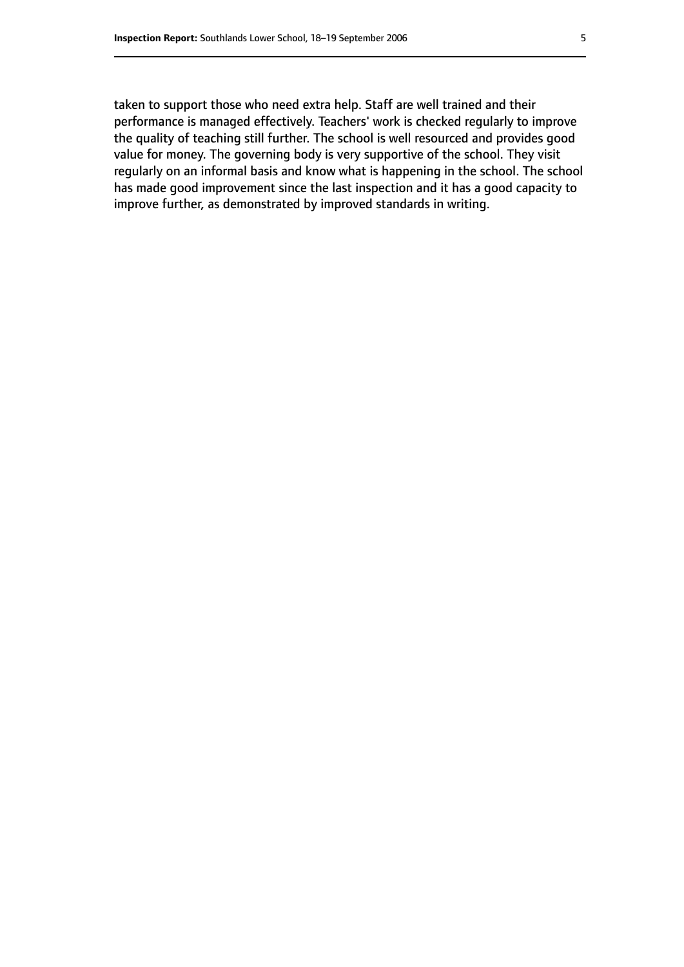taken to support those who need extra help. Staff are well trained and their performance is managed effectively. Teachers' work is checked regularly to improve the quality of teaching still further. The school is well resourced and provides good value for money. The governing body is very supportive of the school. They visit regularly on an informal basis and know what is happening in the school. The school has made good improvement since the last inspection and it has a good capacity to improve further, as demonstrated by improved standards in writing.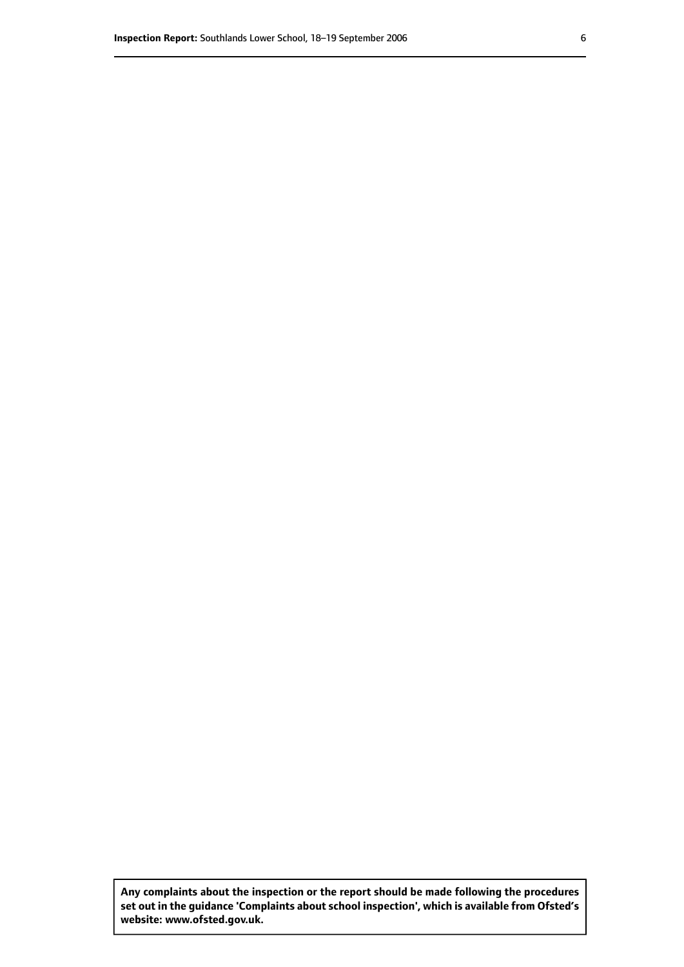**Any complaints about the inspection or the report should be made following the procedures set out inthe guidance 'Complaints about school inspection', whichis available from Ofsted's website: www.ofsted.gov.uk.**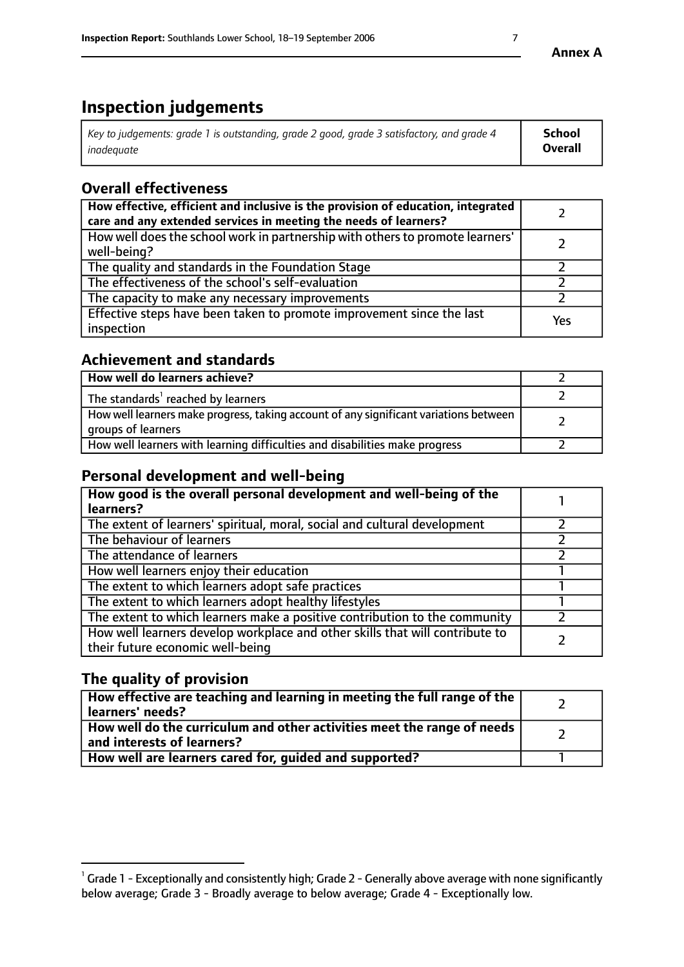# **Inspection judgements**

| Key to judgements: grade 1 is outstanding, grade 2 good, grade 3 satisfactory, and grade 4 | <b>School</b>  |
|--------------------------------------------------------------------------------------------|----------------|
| inadeauate                                                                                 | <b>Overall</b> |

# **Overall effectiveness**

| How effective, efficient and inclusive is the provision of education, integrated<br>care and any extended services in meeting the needs of learners? |     |
|------------------------------------------------------------------------------------------------------------------------------------------------------|-----|
| How well does the school work in partnership with others to promote learners'<br>well-being?                                                         |     |
| The quality and standards in the Foundation Stage                                                                                                    |     |
| The effectiveness of the school's self-evaluation                                                                                                    |     |
| The capacity to make any necessary improvements                                                                                                      |     |
| Effective steps have been taken to promote improvement since the last<br>inspection                                                                  | Yes |

# **Achievement and standards**

| How well do learners achieve?                                                                               |  |
|-------------------------------------------------------------------------------------------------------------|--|
| The standards <sup>1</sup> reached by learners                                                              |  |
| How well learners make progress, taking account of any significant variations between<br>groups of learners |  |
| How well learners with learning difficulties and disabilities make progress                                 |  |

# **Personal development and well-being**

| How good is the overall personal development and well-being of the<br>learners?                                  |  |
|------------------------------------------------------------------------------------------------------------------|--|
| The extent of learners' spiritual, moral, social and cultural development                                        |  |
| The behaviour of learners                                                                                        |  |
| The attendance of learners                                                                                       |  |
| How well learners enjoy their education                                                                          |  |
| The extent to which learners adopt safe practices                                                                |  |
| The extent to which learners adopt healthy lifestyles                                                            |  |
| The extent to which learners make a positive contribution to the community                                       |  |
| How well learners develop workplace and other skills that will contribute to<br>their future economic well-being |  |

# **The quality of provision**

| How effective are teaching and learning in meeting the full range of the<br>learners' needs?          |  |
|-------------------------------------------------------------------------------------------------------|--|
| How well do the curriculum and other activities meet the range of needs<br>and interests of learners? |  |
| How well are learners cared for, guided and supported?                                                |  |

 $^1$  Grade 1 - Exceptionally and consistently high; Grade 2 - Generally above average with none significantly below average; Grade 3 - Broadly average to below average; Grade 4 - Exceptionally low.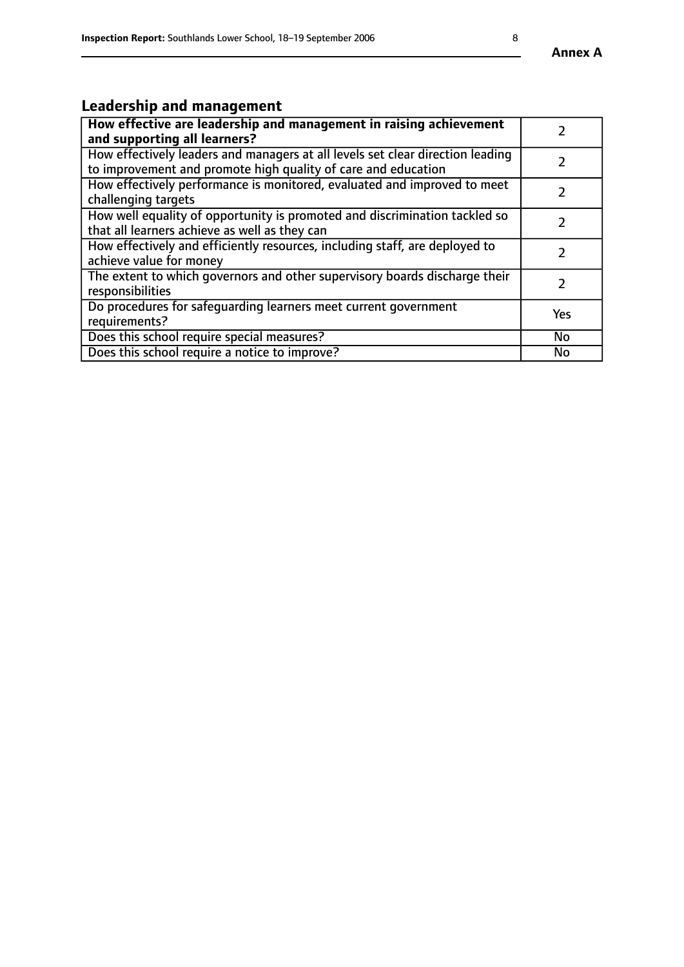# **Leadership and management**

| How effective are leadership and management in raising achievement<br>and supporting all learners?                                              |           |
|-------------------------------------------------------------------------------------------------------------------------------------------------|-----------|
| How effectively leaders and managers at all levels set clear direction leading<br>to improvement and promote high quality of care and education |           |
| How effectively performance is monitored, evaluated and improved to meet<br>challenging targets                                                 |           |
| How well equality of opportunity is promoted and discrimination tackled so<br>that all learners achieve as well as they can                     |           |
| How effectively and efficiently resources, including staff, are deployed to<br>achieve value for money                                          |           |
| The extent to which governors and other supervisory boards discharge their<br>responsibilities                                                  |           |
| Do procedures for safequarding learners meet current government<br>requirements?                                                                | Yes       |
| Does this school require special measures?                                                                                                      | No        |
| Does this school require a notice to improve?                                                                                                   | <b>No</b> |